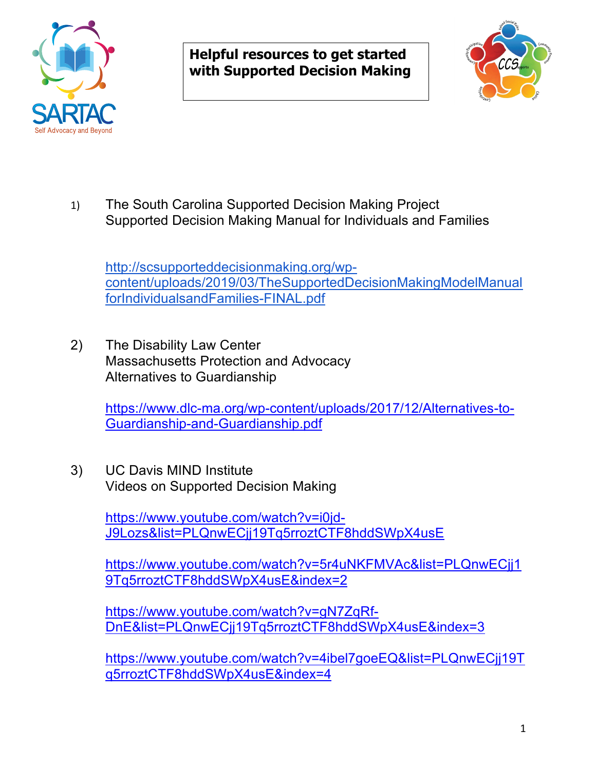

**Helpful resources to get started with Supported Decision Making**



1) The South Carolina Supported Decision Making Project Supported Decision Making Manual for Individuals and Families

http://scsupporteddecisionmaking.org/wpcontent/uploads/2019/03/TheSupportedDecisionMakingModelManual forIndividualsandFamilies-FINAL.pdf

2) The Disability Law Center Massachusetts Protection and Advocacy Alternatives to Guardianship

> https://www.dlc-ma.org/wp-content/uploads/2017/12/Alternatives-to-Guardianship-and-Guardianship.pdf

3) UC Davis MIND Institute Videos on Supported Decision Making

> https://www.youtube.com/watch?v=i0jd-J9Lozs&list=PLQnwECjj19Tq5rroztCTF8hddSWpX4usE

https://www.youtube.com/watch?v=5r4uNKFMVAc&list=PLQnwECjj1 9Tq5rroztCTF8hddSWpX4usE&index=2

https://www.youtube.com/watch?v=gN7ZqRf-DnE&list=PLQnwECjj19Tq5rroztCTF8hddSWpX4usE&index=3

https://www.youtube.com/watch?v=4ibel7goeEQ&list=PLQnwECjj19T q5rroztCTF8hddSWpX4usE&index=4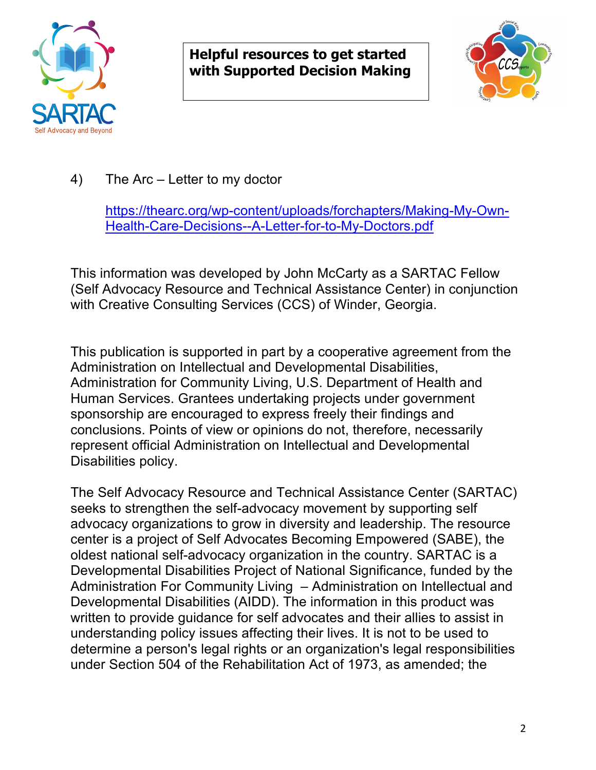

**Helpful resources to get started with Supported Decision Making**



4) The Arc – Letter to my doctor

https://thearc.org/wp-content/uploads/forchapters/Making-My-Own-Health-Care-Decisions--A-Letter-for-to-My-Doctors.pdf

This information was developed by John McCarty as a SARTAC Fellow (Self Advocacy Resource and Technical Assistance Center) in conjunction with Creative Consulting Services (CCS) of Winder, Georgia.

This publication is supported in part by a cooperative agreement from the Administration on Intellectual and Developmental Disabilities, Administration for Community Living, U.S. Department of Health and Human Services. Grantees undertaking projects under government sponsorship are encouraged to express freely their findings and conclusions. Points of view or opinions do not, therefore, necessarily represent official Administration on Intellectual and Developmental Disabilities policy.

The Self Advocacy Resource and Technical Assistance Center (SARTAC) seeks to strengthen the self-advocacy movement by supporting self advocacy organizations to grow in diversity and leadership. The resource center is a project of Self Advocates Becoming Empowered (SABE), the oldest national self-advocacy organization in the country. SARTAC is a Developmental Disabilities Project of National Significance, funded by the Administration For Community Living – Administration on Intellectual and Developmental Disabilities (AIDD). The information in this product was written to provide guidance for self advocates and their allies to assist in understanding policy issues affecting their lives. It is not to be used to determine a person's legal rights or an organization's legal responsibilities under Section 504 of the Rehabilitation Act of 1973, as amended; the